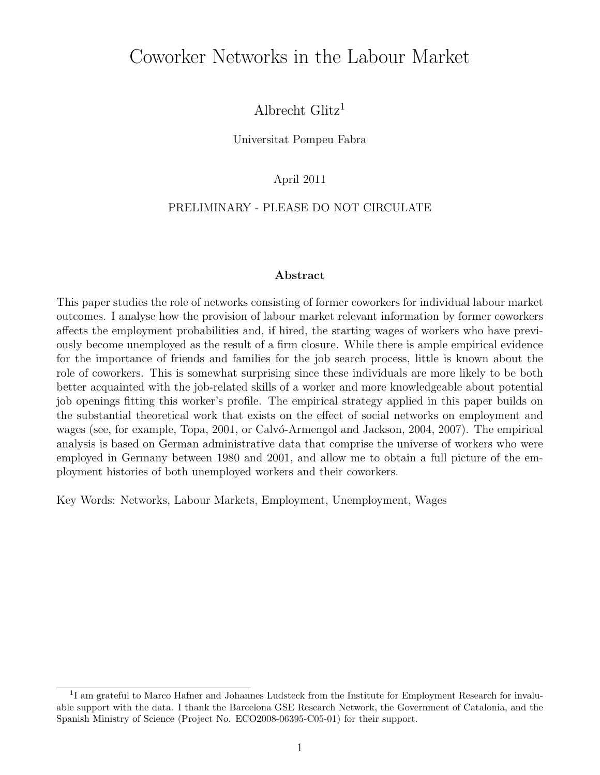# Coworker Networks in the Labour Market

Albrecht Glitz<sup>1</sup>

Universitat Pompeu Fabra

April 2011

#### PRELIMINARY - PLEASE DO NOT CIRCULATE

#### **Abstract**

This paper studies the role of networks consisting of former coworkers for individual labour market outcomes. I analyse how the provision of labour market relevant information by former coworkers affects the employment probabilities and, if hired, the starting wages of workers who have previously become unemployed as the result of a firm closure. While there is ample empirical evidence for the importance of friends and families for the job search process, little is known about the role of coworkers. This is somewhat surprising since these individuals are more likely to be both better acquainted with the job-related skills of a worker and more knowledgeable about potential job openings fitting this worker's profile. The empirical strategy applied in this paper builds on the substantial theoretical work that exists on the effect of social networks on employment and wages (see, for example, Topa, 2001, or Calvó-Armengol and Jackson, 2004, 2007). The empirical analysis is based on German administrative data that comprise the universe of workers who were employed in Germany between 1980 and 2001, and allow me to obtain a full picture of the employment histories of both unemployed workers and their coworkers.

Key Words: Networks, Labour Markets, Employment, Unemployment, Wages

<sup>&</sup>lt;sup>1</sup>I am grateful to Marco Hafner and Johannes Ludsteck from the Institute for Employment Research for invaluable support with the data. I thank the Barcelona GSE Research Network, the Government of Catalonia, and the Spanish Ministry of Science (Project No. ECO2008-06395-C05-01) for their support.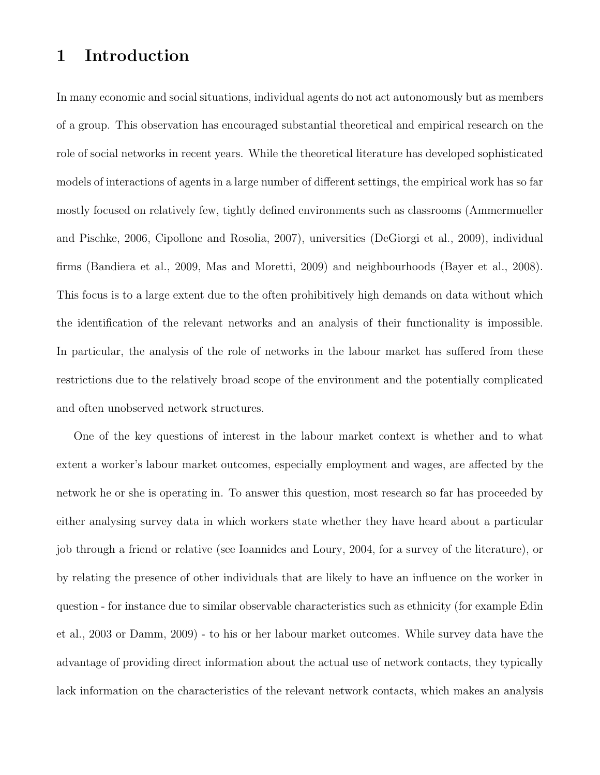### **1 Introduction**

In many economic and social situations, individual agents do not act autonomously but as members of a group. This observation has encouraged substantial theoretical and empirical research on the role of social networks in recent years. While the theoretical literature has developed sophisticated models of interactions of agents in a large number of different settings, the empirical work has so far mostly focused on relatively few, tightly defined environments such as classrooms (Ammermueller and Pischke, 2006, Cipollone and Rosolia, 2007), universities (DeGiorgi et al., 2009), individual firms (Bandiera et al., 2009, Mas and Moretti, 2009) and neighbourhoods (Bayer et al., 2008). This focus is to a large extent due to the often prohibitively high demands on data without which the identification of the relevant networks and an analysis of their functionality is impossible. In particular, the analysis of the role of networks in the labour market has suffered from these restrictions due to the relatively broad scope of the environment and the potentially complicated and often unobserved network structures.

One of the key questions of interest in the labour market context is whether and to what extent a worker's labour market outcomes, especially employment and wages, are affected by the network he or she is operating in. To answer this question, most research so far has proceeded by either analysing survey data in which workers state whether they have heard about a particular job through a friend or relative (see Ioannides and Loury, 2004, for a survey of the literature), or by relating the presence of other individuals that are likely to have an influence on the worker in question - for instance due to similar observable characteristics such as ethnicity (for example Edin et al., 2003 or Damm, 2009) - to his or her labour market outcomes. While survey data have the advantage of providing direct information about the actual use of network contacts, they typically lack information on the characteristics of the relevant network contacts, which makes an analysis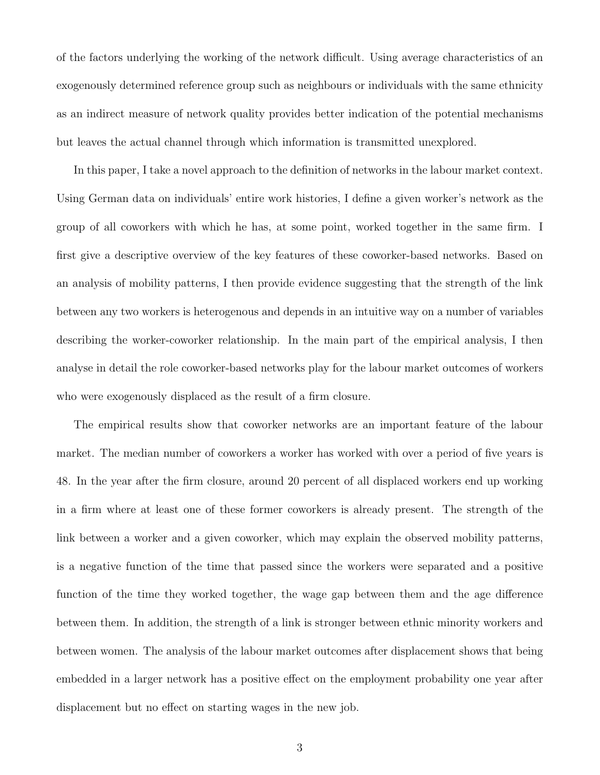of the factors underlying the working of the network difficult. Using average characteristics of an exogenously determined reference group such as neighbours or individuals with the same ethnicity as an indirect measure of network quality provides better indication of the potential mechanisms but leaves the actual channel through which information is transmitted unexplored.

In this paper, I take a novel approach to the definition of networks in the labour market context. Using German data on individuals' entire work histories, I define a given worker's network as the group of all coworkers with which he has, at some point, worked together in the same firm. I first give a descriptive overview of the key features of these coworker-based networks. Based on an analysis of mobility patterns, I then provide evidence suggesting that the strength of the link between any two workers is heterogenous and depends in an intuitive way on a number of variables describing the worker-coworker relationship. In the main part of the empirical analysis, I then analyse in detail the role coworker-based networks play for the labour market outcomes of workers who were exogenously displaced as the result of a firm closure.

The empirical results show that coworker networks are an important feature of the labour market. The median number of coworkers a worker has worked with over a period of five years is 48. In the year after the firm closure, around 20 percent of all displaced workers end up working in a firm where at least one of these former coworkers is already present. The strength of the link between a worker and a given coworker, which may explain the observed mobility patterns, is a negative function of the time that passed since the workers were separated and a positive function of the time they worked together, the wage gap between them and the age difference between them. In addition, the strength of a link is stronger between ethnic minority workers and between women. The analysis of the labour market outcomes after displacement shows that being embedded in a larger network has a positive effect on the employment probability one year after displacement but no effect on starting wages in the new job.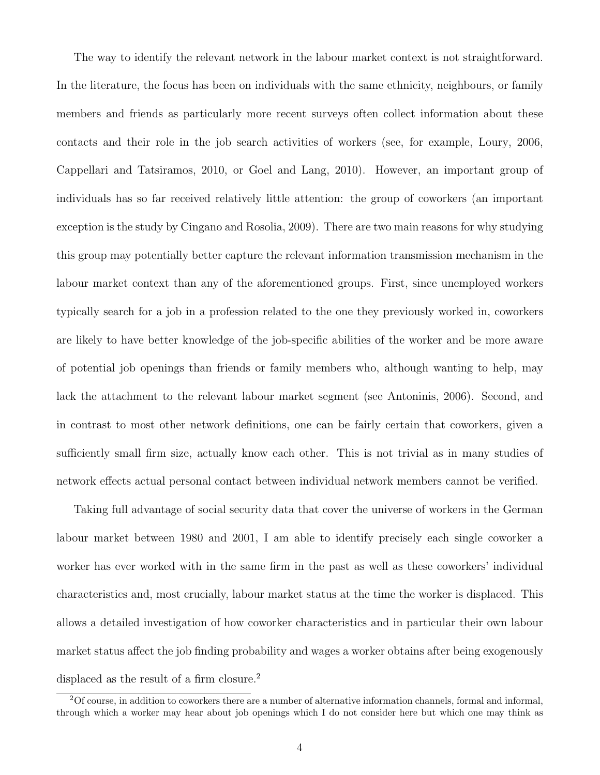The way to identify the relevant network in the labour market context is not straightforward. In the literature, the focus has been on individuals with the same ethnicity, neighbours, or family members and friends as particularly more recent surveys often collect information about these contacts and their role in the job search activities of workers (see, for example, Loury, 2006, Cappellari and Tatsiramos, 2010, or Goel and Lang, 2010). However, an important group of individuals has so far received relatively little attention: the group of coworkers (an important exception is the study by Cingano and Rosolia, 2009). There are two main reasons for why studying this group may potentially better capture the relevant information transmission mechanism in the labour market context than any of the aforementioned groups. First, since unemployed workers typically search for a job in a profession related to the one they previously worked in, coworkers are likely to have better knowledge of the job-specific abilities of the worker and be more aware of potential job openings than friends or family members who, although wanting to help, may lack the attachment to the relevant labour market segment (see Antoninis, 2006). Second, and in contrast to most other network definitions, one can be fairly certain that coworkers, given a sufficiently small firm size, actually know each other. This is not trivial as in many studies of network effects actual personal contact between individual network members cannot be verified.

Taking full advantage of social security data that cover the universe of workers in the German labour market between 1980 and 2001, I am able to identify precisely each single coworker a worker has ever worked with in the same firm in the past as well as these coworkers' individual characteristics and, most crucially, labour market status at the time the worker is displaced. This allows a detailed investigation of how coworker characteristics and in particular their own labour market status affect the job finding probability and wages a worker obtains after being exogenously displaced as the result of a firm closure.<sup>2</sup>

<sup>2</sup>Of course, in addition to coworkers there are a number of alternative information channels, formal and informal, through which a worker may hear about job openings which I do not consider here but which one may think as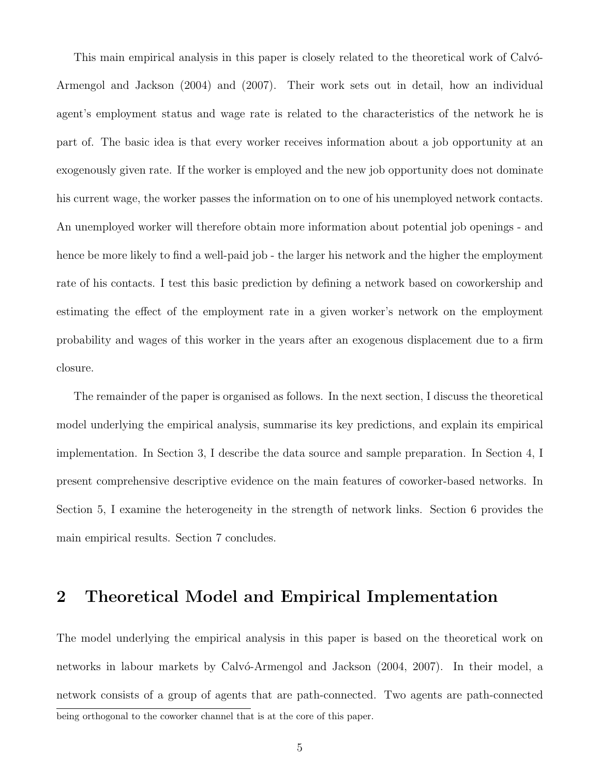This main empirical analysis in this paper is closely related to the theoretical work of Calvó-Armengol and Jackson (2004) and (2007). Their work sets out in detail, how an individual agent's employment status and wage rate is related to the characteristics of the network he is part of. The basic idea is that every worker receives information about a job opportunity at an exogenously given rate. If the worker is employed and the new job opportunity does not dominate his current wage, the worker passes the information on to one of his unemployed network contacts. An unemployed worker will therefore obtain more information about potential job openings - and hence be more likely to find a well-paid job - the larger his network and the higher the employment rate of his contacts. I test this basic prediction by defining a network based on coworkership and estimating the effect of the employment rate in a given worker's network on the employment probability and wages of this worker in the years after an exogenous displacement due to a firm closure.

The remainder of the paper is organised as follows. In the next section, I discuss the theoretical model underlying the empirical analysis, summarise its key predictions, and explain its empirical implementation. In Section 3, I describe the data source and sample preparation. In Section 4, I present comprehensive descriptive evidence on the main features of coworker-based networks. In Section 5, I examine the heterogeneity in the strength of network links. Section 6 provides the main empirical results. Section 7 concludes.

## **2 Theoretical Model and Empirical Implementation**

The model underlying the empirical analysis in this paper is based on the theoretical work on networks in labour markets by Calvó-Armengol and Jackson (2004, 2007). In their model, a network consists of a group of agents that are path-connected. Two agents are path-connected being orthogonal to the coworker channel that is at the core of this paper.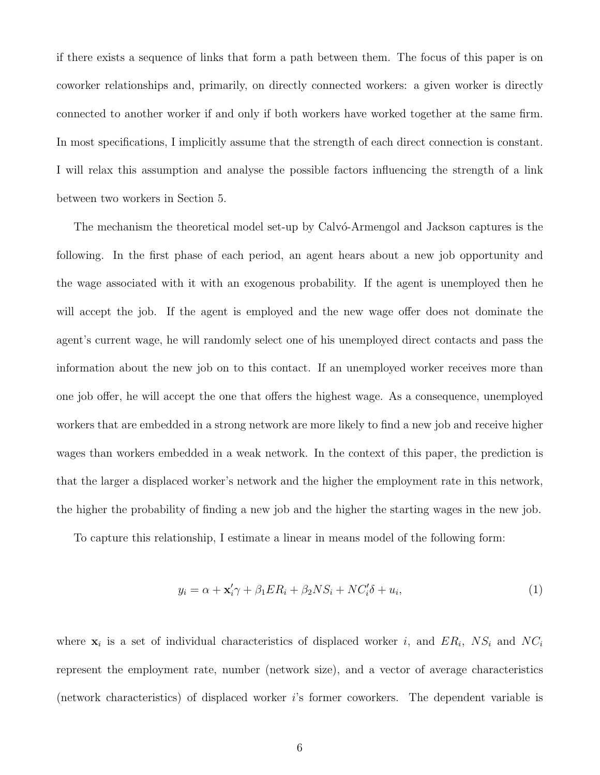if there exists a sequence of links that form a path between them. The focus of this paper is on coworker relationships and, primarily, on directly connected workers: a given worker is directly connected to another worker if and only if both workers have worked together at the same firm. In most specifications, I implicitly assume that the strength of each direct connection is constant. I will relax this assumption and analyse the possible factors influencing the strength of a link between two workers in Section 5.

The mechanism the theoretical model set-up by Calvó-Armengol and Jackson captures is the following. In the first phase of each period, an agent hears about a new job opportunity and the wage associated with it with an exogenous probability. If the agent is unemployed then he will accept the job. If the agent is employed and the new wage offer does not dominate the agent's current wage, he will randomly select one of his unemployed direct contacts and pass the information about the new job on to this contact. If an unemployed worker receives more than one job offer, he will accept the one that offers the highest wage. As a consequence, unemployed workers that are embedded in a strong network are more likely to find a new job and receive higher wages than workers embedded in a weak network. In the context of this paper, the prediction is that the larger a displaced worker's network and the higher the employment rate in this network, the higher the probability of finding a new job and the higher the starting wages in the new job.

To capture this relationship, I estimate a linear in means model of the following form:

$$
y_i = \alpha + \mathbf{x}_i' \gamma + \beta_1 ER_i + \beta_2 NS_i + NC_i' \delta + u_i,\tag{1}
$$

where  $\mathbf{x}_i$  is a set of individual characteristics of displaced worker *i*, and  $ER_i$ ,  $NS_i$  and  $NC_i$ represent the employment rate, number (network size), and a vector of average characteristics (network characteristics) of displaced worker *i*'s former coworkers. The dependent variable is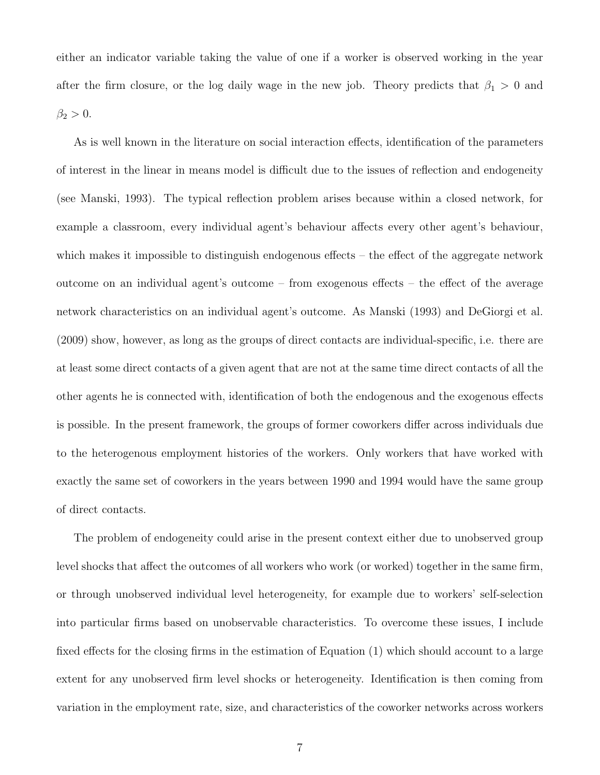either an indicator variable taking the value of one if a worker is observed working in the year after the firm closure, or the log daily wage in the new job. Theory predicts that  $\beta_1 > 0$  and  $\beta_2 > 0$ .

As is well known in the literature on social interaction effects, identification of the parameters of interest in the linear in means model is difficult due to the issues of reflection and endogeneity (see Manski, 1993). The typical reflection problem arises because within a closed network, for example a classroom, every individual agent's behaviour affects every other agent's behaviour, which makes it impossible to distinguish endogenous effects – the effect of the aggregate network outcome on an individual agent's outcome – from exogenous effects – the effect of the average network characteristics on an individual agent's outcome. As Manski (1993) and DeGiorgi et al. (2009) show, however, as long as the groups of direct contacts are individual-specific, i.e. there are at least some direct contacts of a given agent that are not at the same time direct contacts of all the other agents he is connected with, identification of both the endogenous and the exogenous effects is possible. In the present framework, the groups of former coworkers differ across individuals due to the heterogenous employment histories of the workers. Only workers that have worked with exactly the same set of coworkers in the years between 1990 and 1994 would have the same group of direct contacts.

The problem of endogeneity could arise in the present context either due to unobserved group level shocks that affect the outcomes of all workers who work (or worked) together in the same firm, or through unobserved individual level heterogeneity, for example due to workers' self-selection into particular firms based on unobservable characteristics. To overcome these issues, I include fixed effects for the closing firms in the estimation of Equation (1) which should account to a large extent for any unobserved firm level shocks or heterogeneity. Identification is then coming from variation in the employment rate, size, and characteristics of the coworker networks across workers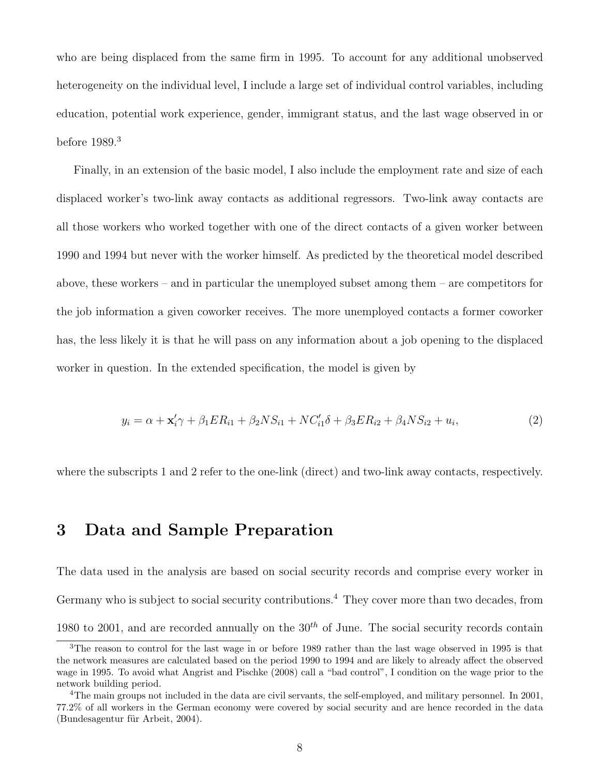who are being displaced from the same firm in 1995. To account for any additional unobserved heterogeneity on the individual level, I include a large set of individual control variables, including education, potential work experience, gender, immigrant status, and the last wage observed in or before 1989.<sup>3</sup>

Finally, in an extension of the basic model, I also include the employment rate and size of each displaced worker's two-link away contacts as additional regressors. Two-link away contacts are all those workers who worked together with one of the direct contacts of a given worker between 1990 and 1994 but never with the worker himself. As predicted by the theoretical model described above, these workers – and in particular the unemployed subset among them – are competitors for the job information a given coworker receives. The more unemployed contacts a former coworker has, the less likely it is that he will pass on any information about a job opening to the displaced worker in question. In the extended specification, the model is given by

$$
y_i = \alpha + \mathbf{x}_i' \gamma + \beta_1 ER_{i1} + \beta_2 NS_{i1} + NC_{i1}'\delta + \beta_3 ER_{i2} + \beta_4 NS_{i2} + u_i,
$$
<sup>(2)</sup>

where the subscripts 1 and 2 refer to the one-link (direct) and two-link away contacts, respectively.

### **3 Data and Sample Preparation**

The data used in the analysis are based on social security records and comprise every worker in Germany who is subject to social security contributions.<sup>4</sup> They cover more than two decades, from 1980 to 2001, and are recorded annually on the 30*th* of June. The social security records contain

<sup>&</sup>lt;sup>3</sup>The reason to control for the last wage in or before 1989 rather than the last wage observed in 1995 is that the network measures are calculated based on the period 1990 to 1994 and are likely to already affect the observed wage in 1995. To avoid what Angrist and Pischke (2008) call a "bad control", I condition on the wage prior to the network building period.

<sup>&</sup>lt;sup>4</sup>The main groups not included in the data are civil servants, the self-employed, and military personnel. In 2001, 77.2% of all workers in the German economy were covered by social security and are hence recorded in the data (Bundesagentur für Arbeit, 2004).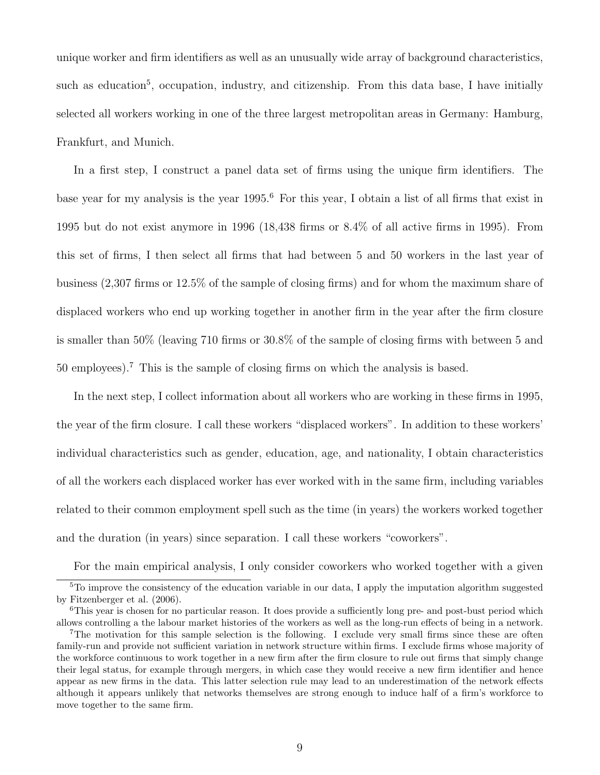unique worker and firm identifiers as well as an unusually wide array of background characteristics, such as education<sup>5</sup>, occupation, industry, and citizenship. From this data base, I have initially selected all workers working in one of the three largest metropolitan areas in Germany: Hamburg, Frankfurt, and Munich.

In a first step, I construct a panel data set of firms using the unique firm identifiers. The base year for my analysis is the year 1995.<sup>6</sup> For this year, I obtain a list of all firms that exist in 1995 but do not exist anymore in 1996 (18,438 firms or 8.4% of all active firms in 1995). From this set of firms, I then select all firms that had between 5 and 50 workers in the last year of business (2,307 firms or 12.5% of the sample of closing firms) and for whom the maximum share of displaced workers who end up working together in another firm in the year after the firm closure is smaller than 50% (leaving 710 firms or 30.8% of the sample of closing firms with between 5 and 50 employees).<sup>7</sup> This is the sample of closing firms on which the analysis is based.

In the next step, I collect information about all workers who are working in these firms in 1995, the year of the firm closure. I call these workers "displaced workers". In addition to these workers' individual characteristics such as gender, education, age, and nationality, I obtain characteristics of all the workers each displaced worker has ever worked with in the same firm, including variables related to their common employment spell such as the time (in years) the workers worked together and the duration (in years) since separation. I call these workers "coworkers".

For the main empirical analysis, I only consider coworkers who worked together with a given

<sup>5</sup>To improve the consistency of the education variable in our data, I apply the imputation algorithm suggested by Fitzenberger et al. (2006).

<sup>&</sup>lt;sup>6</sup>This year is chosen for no particular reason. It does provide a sufficiently long pre- and post-bust period which allows controlling a the labour market histories of the workers as well as the long-run effects of being in a network.

<sup>&</sup>lt;sup>7</sup>The motivation for this sample selection is the following. I exclude very small firms since these are often family-run and provide not sufficient variation in network structure within firms. I exclude firms whose majority of the workforce continuous to work together in a new firm after the firm closure to rule out firms that simply change their legal status, for example through mergers, in which case they would receive a new firm identifier and hence appear as new firms in the data. This latter selection rule may lead to an underestimation of the network effects although it appears unlikely that networks themselves are strong enough to induce half of a firm's workforce to move together to the same firm.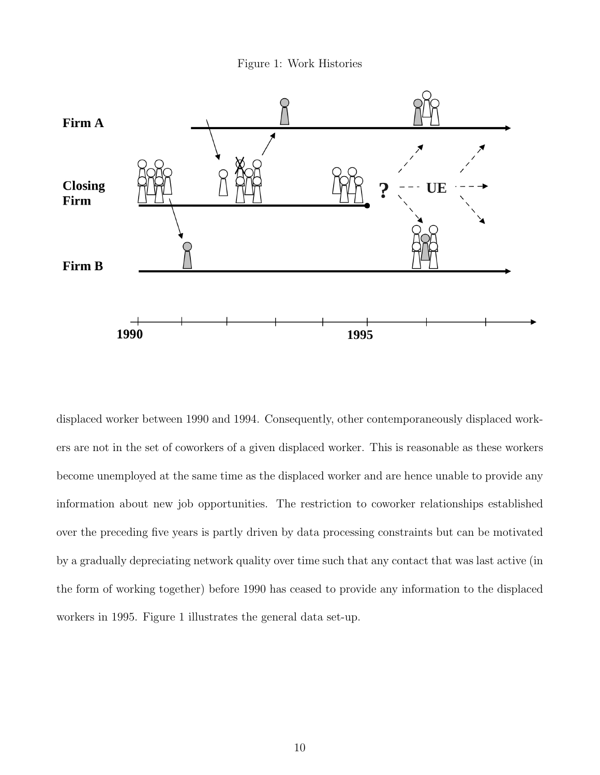Figure 1: Work Histories



displaced worker between 1990 and 1994. Consequently, other contemporaneously displaced workers are not in the set of coworkers of a given displaced worker. This is reasonable as these workers become unemployed at the same time as the displaced worker and are hence unable to provide any information about new job opportunities. The restriction to coworker relationships established over the preceding five years is partly driven by data processing constraints but can be motivated by a gradually depreciating network quality over time such that any contact that was last active (in the form of working together) before 1990 has ceased to provide any information to the displaced workers in 1995. Figure 1 illustrates the general data set-up.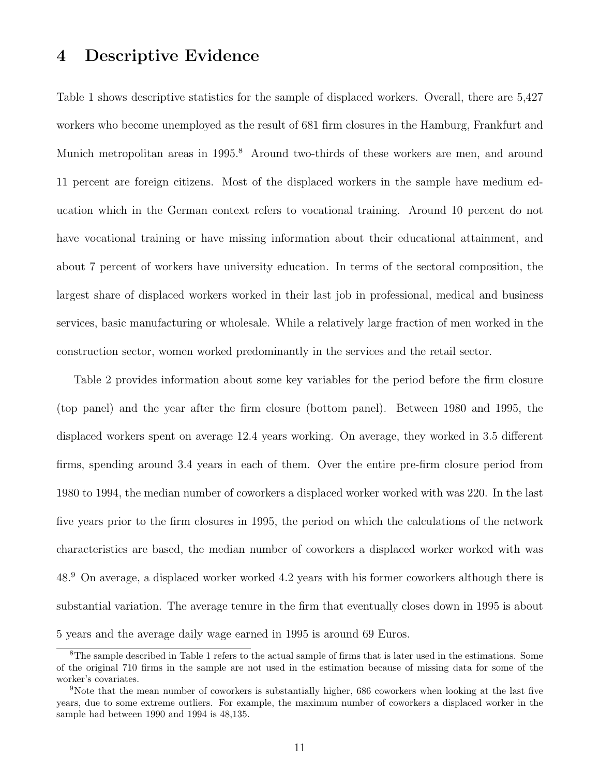#### **4 Descriptive Evidence**

Table 1 shows descriptive statistics for the sample of displaced workers. Overall, there are 5,427 workers who become unemployed as the result of 681 firm closures in the Hamburg, Frankfurt and Munich metropolitan areas in 1995.<sup>8</sup> Around two-thirds of these workers are men, and around 11 percent are foreign citizens. Most of the displaced workers in the sample have medium education which in the German context refers to vocational training. Around 10 percent do not have vocational training or have missing information about their educational attainment, and about 7 percent of workers have university education. In terms of the sectoral composition, the largest share of displaced workers worked in their last job in professional, medical and business services, basic manufacturing or wholesale. While a relatively large fraction of men worked in the construction sector, women worked predominantly in the services and the retail sector.

Table 2 provides information about some key variables for the period before the firm closure (top panel) and the year after the firm closure (bottom panel). Between 1980 and 1995, the displaced workers spent on average 12.4 years working. On average, they worked in 3.5 different firms, spending around 3.4 years in each of them. Over the entire pre-firm closure period from 1980 to 1994, the median number of coworkers a displaced worker worked with was 220. In the last five years prior to the firm closures in 1995, the period on which the calculations of the network characteristics are based, the median number of coworkers a displaced worker worked with was 48.<sup>9</sup> On average, a displaced worker worked 4.2 years with his former coworkers although there is substantial variation. The average tenure in the firm that eventually closes down in 1995 is about 5 years and the average daily wage earned in 1995 is around 69 Euros.

<sup>&</sup>lt;sup>8</sup>The sample described in Table 1 refers to the actual sample of firms that is later used in the estimations. Some of the original 710 firms in the sample are not used in the estimation because of missing data for some of the worker's covariates.

<sup>9</sup>Note that the mean number of coworkers is substantially higher, 686 coworkers when looking at the last five years, due to some extreme outliers. For example, the maximum number of coworkers a displaced worker in the sample had between 1990 and 1994 is 48,135.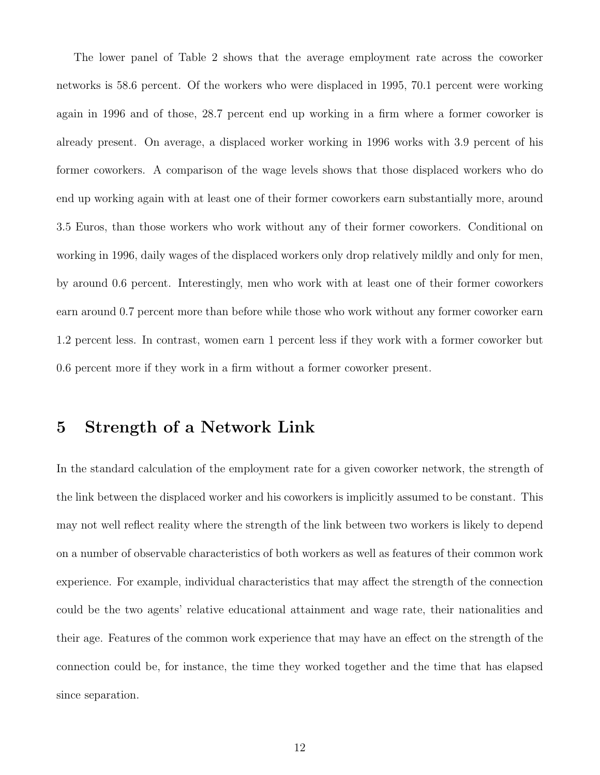The lower panel of Table 2 shows that the average employment rate across the coworker networks is 58.6 percent. Of the workers who were displaced in 1995, 70.1 percent were working again in 1996 and of those, 28.7 percent end up working in a firm where a former coworker is already present. On average, a displaced worker working in 1996 works with 3.9 percent of his former coworkers. A comparison of the wage levels shows that those displaced workers who do end up working again with at least one of their former coworkers earn substantially more, around 3.5 Euros, than those workers who work without any of their former coworkers. Conditional on working in 1996, daily wages of the displaced workers only drop relatively mildly and only for men, by around 0.6 percent. Interestingly, men who work with at least one of their former coworkers earn around 0.7 percent more than before while those who work without any former coworker earn 1.2 percent less. In contrast, women earn 1 percent less if they work with a former coworker but 0.6 percent more if they work in a firm without a former coworker present.

### **5 Strength of a Network Link**

In the standard calculation of the employment rate for a given coworker network, the strength of the link between the displaced worker and his coworkers is implicitly assumed to be constant. This may not well reflect reality where the strength of the link between two workers is likely to depend on a number of observable characteristics of both workers as well as features of their common work experience. For example, individual characteristics that may affect the strength of the connection could be the two agents' relative educational attainment and wage rate, their nationalities and their age. Features of the common work experience that may have an effect on the strength of the connection could be, for instance, the time they worked together and the time that has elapsed since separation.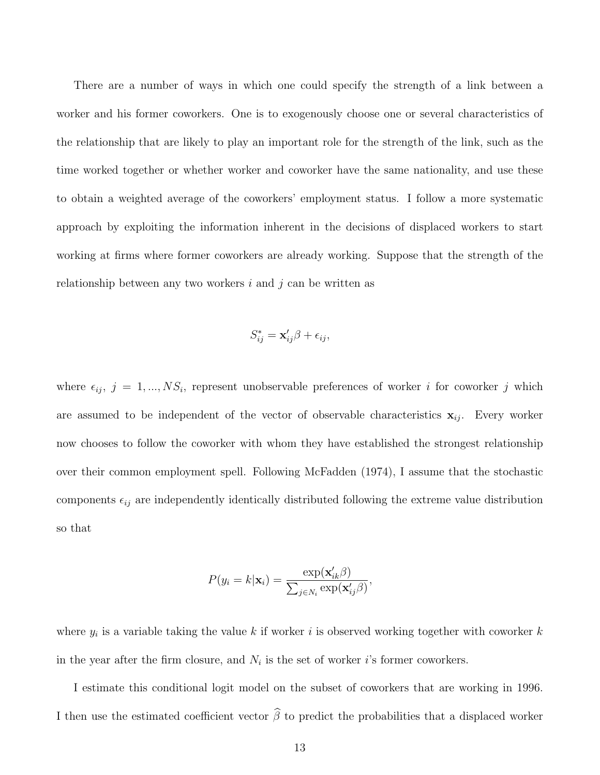There are a number of ways in which one could specify the strength of a link between a worker and his former coworkers. One is to exogenously choose one or several characteristics of the relationship that are likely to play an important role for the strength of the link, such as the time worked together or whether worker and coworker have the same nationality, and use these to obtain a weighted average of the coworkers' employment status. I follow a more systematic approach by exploiting the information inherent in the decisions of displaced workers to start working at firms where former coworkers are already working. Suppose that the strength of the relationship between any two workers *i* and *j* can be written as

$$
S_{ij}^* = \mathbf{x}_{ij}'\boldsymbol{\beta} + \epsilon_{ij},
$$

where  $\epsilon_{ij}$ ,  $j = 1, ..., NS_i$ , represent unobservable preferences of worker *i* for coworker *j* which are assumed to be independent of the vector of observable characteristics  $\mathbf{x}_{ij}$ . Every worker now chooses to follow the coworker with whom they have established the strongest relationship over their common employment spell. Following McFadden (1974), I assume that the stochastic components  $\epsilon_{ij}$  are independently identically distributed following the extreme value distribution so that

$$
P(y_i = k|\mathbf{x}_i) = \frac{\exp(\mathbf{x}'_{ik}\beta)}{\sum_{j \in N_i} \exp(\mathbf{x}'_{ij}\beta)},
$$

where *y<sup>i</sup>* is a variable taking the value *k* if worker *i* is observed working together with coworker *k* in the year after the firm closure, and  $N_i$  is the set of worker *i*'s former coworkers.

I estimate this conditional logit model on the subset of coworkers that are working in 1996. I then use the estimated coefficient vector  $\hat{\beta}$  to predict the probabilities that a displaced worker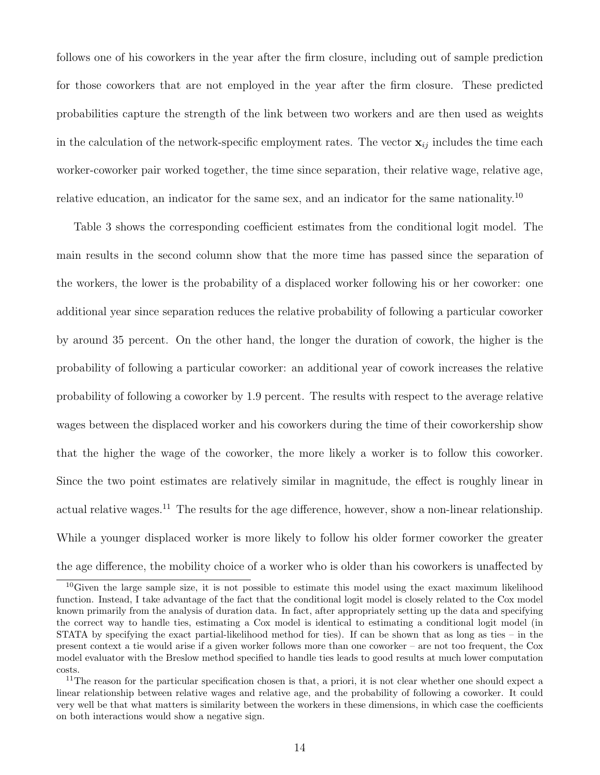follows one of his coworkers in the year after the firm closure, including out of sample prediction for those coworkers that are not employed in the year after the firm closure. These predicted probabilities capture the strength of the link between two workers and are then used as weights in the calculation of the network-specific employment rates. The vector  $\mathbf{x}_{ij}$  includes the time each worker-coworker pair worked together, the time since separation, their relative wage, relative age, relative education, an indicator for the same sex, and an indicator for the same nationality.<sup>10</sup>

Table 3 shows the corresponding coefficient estimates from the conditional logit model. The main results in the second column show that the more time has passed since the separation of the workers, the lower is the probability of a displaced worker following his or her coworker: one additional year since separation reduces the relative probability of following a particular coworker by around 35 percent. On the other hand, the longer the duration of cowork, the higher is the probability of following a particular coworker: an additional year of cowork increases the relative probability of following a coworker by 1.9 percent. The results with respect to the average relative wages between the displaced worker and his coworkers during the time of their coworkership show that the higher the wage of the coworker, the more likely a worker is to follow this coworker. Since the two point estimates are relatively similar in magnitude, the effect is roughly linear in actual relative wages.<sup>11</sup> The results for the age difference, however, show a non-linear relationship. While a younger displaced worker is more likely to follow his older former coworker the greater the age difference, the mobility choice of a worker who is older than his coworkers is unaffected by

<sup>10</sup>Given the large sample size, it is not possible to estimate this model using the exact maximum likelihood function. Instead, I take advantage of the fact that the conditional logit model is closely related to the Cox model known primarily from the analysis of duration data. In fact, after appropriately setting up the data and specifying the correct way to handle ties, estimating a Cox model is identical to estimating a conditional logit model (in STATA by specifying the exact partial-likelihood method for ties). If can be shown that as long as ties – in the present context a tie would arise if a given worker follows more than one coworker – are not too frequent, the Cox model evaluator with the Breslow method specified to handle ties leads to good results at much lower computation costs.

<sup>&</sup>lt;sup>11</sup>The reason for the particular specification chosen is that, a priori, it is not clear whether one should expect a linear relationship between relative wages and relative age, and the probability of following a coworker. It could very well be that what matters is similarity between the workers in these dimensions, in which case the coefficients on both interactions would show a negative sign.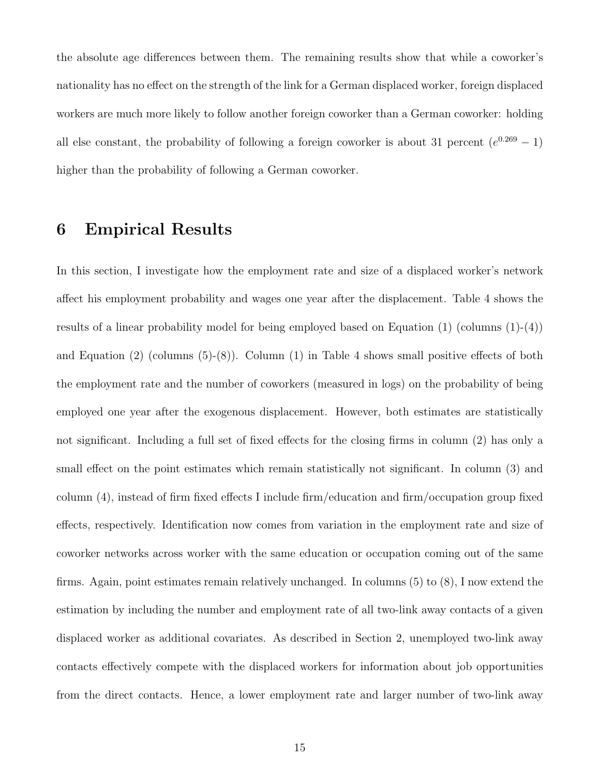the absolute age differences between them. The remaining results show that while a coworker's nationality has no effect on the strength of the link for a German displaced worker, foreign displaced workers are much more likely to follow another foreign coworker than a German coworker: holding all else constant, the probability of following a foreign coworker is about 31 percent  $(e^{0.269} - 1)$ higher than the probability of following a German coworker.

#### **6 Empirical Results**

In this section, I investigate how the employment rate and size of a displaced worker's network affect his employment probability and wages one year after the displacement. Table 4 shows the results of a linear probability model for being employed based on Equation  $(1)$  (columns  $(1)-(4)$ ) and Equation (2) (columns (5)-(8)). Column (1) in Table 4 shows small positive effects of both the employment rate and the number of coworkers (measured in logs) on the probability of being employed one year after the exogenous displacement. However, both estimates are statistically not significant. Including a full set of fixed effects for the closing firms in column (2) has only a small effect on the point estimates which remain statistically not significant. In column (3) and column (4), instead of firm fixed effects I include firm/education and firm/occupation group fixed effects, respectively. Identification now comes from variation in the employment rate and size of coworker networks across worker with the same education or occupation coming out of the same firms. Again, point estimates remain relatively unchanged. In columns (5) to (8), I now extend the estimation by including the number and employment rate of all two-link away contacts of a given displaced worker as additional covariates. As described in Section 2, unemployed two-link away contacts effectively compete with the displaced workers for information about job opportunities from the direct contacts. Hence, a lower employment rate and larger number of two-link away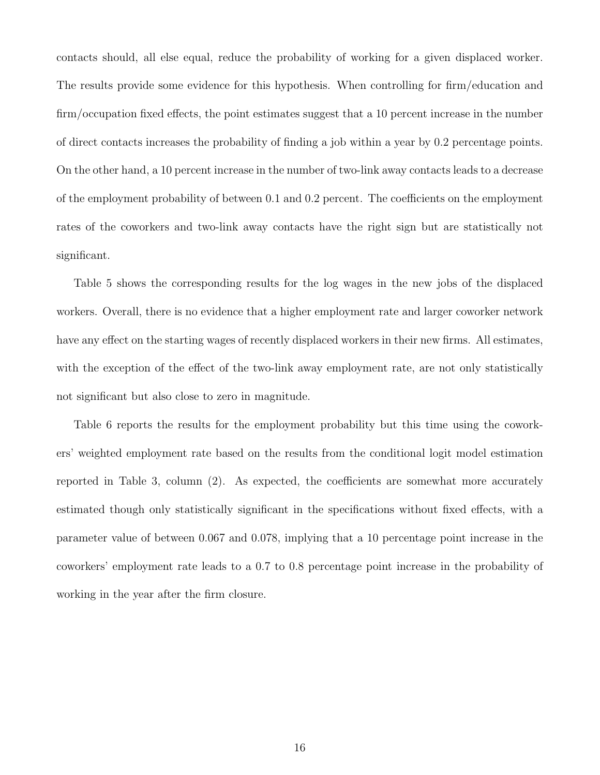contacts should, all else equal, reduce the probability of working for a given displaced worker. The results provide some evidence for this hypothesis. When controlling for firm/education and firm/occupation fixed effects, the point estimates suggest that a 10 percent increase in the number of direct contacts increases the probability of finding a job within a year by 0.2 percentage points. On the other hand, a 10 percent increase in the number of two-link away contacts leads to a decrease of the employment probability of between 0.1 and 0.2 percent. The coefficients on the employment rates of the coworkers and two-link away contacts have the right sign but are statistically not significant.

Table 5 shows the corresponding results for the log wages in the new jobs of the displaced workers. Overall, there is no evidence that a higher employment rate and larger coworker network have any effect on the starting wages of recently displaced workers in their new firms. All estimates, with the exception of the effect of the two-link away employment rate, are not only statistically not significant but also close to zero in magnitude.

Table 6 reports the results for the employment probability but this time using the coworkers' weighted employment rate based on the results from the conditional logit model estimation reported in Table 3, column (2). As expected, the coefficients are somewhat more accurately estimated though only statistically significant in the specifications without fixed effects, with a parameter value of between 0.067 and 0.078, implying that a 10 percentage point increase in the coworkers' employment rate leads to a 0.7 to 0.8 percentage point increase in the probability of working in the year after the firm closure.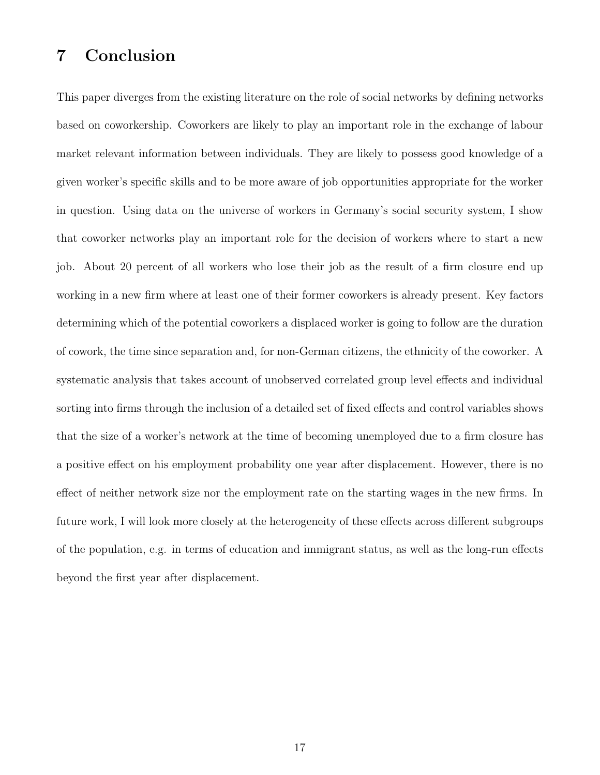### **7 Conclusion**

This paper diverges from the existing literature on the role of social networks by defining networks based on coworkership. Coworkers are likely to play an important role in the exchange of labour market relevant information between individuals. They are likely to possess good knowledge of a given worker's specific skills and to be more aware of job opportunities appropriate for the worker in question. Using data on the universe of workers in Germany's social security system, I show that coworker networks play an important role for the decision of workers where to start a new job. About 20 percent of all workers who lose their job as the result of a firm closure end up working in a new firm where at least one of their former coworkers is already present. Key factors determining which of the potential coworkers a displaced worker is going to follow are the duration of cowork, the time since separation and, for non-German citizens, the ethnicity of the coworker. A systematic analysis that takes account of unobserved correlated group level effects and individual sorting into firms through the inclusion of a detailed set of fixed effects and control variables shows that the size of a worker's network at the time of becoming unemployed due to a firm closure has a positive effect on his employment probability one year after displacement. However, there is no effect of neither network size nor the employment rate on the starting wages in the new firms. In future work, I will look more closely at the heterogeneity of these effects across different subgroups of the population, e.g. in terms of education and immigrant status, as well as the long-run effects beyond the first year after displacement.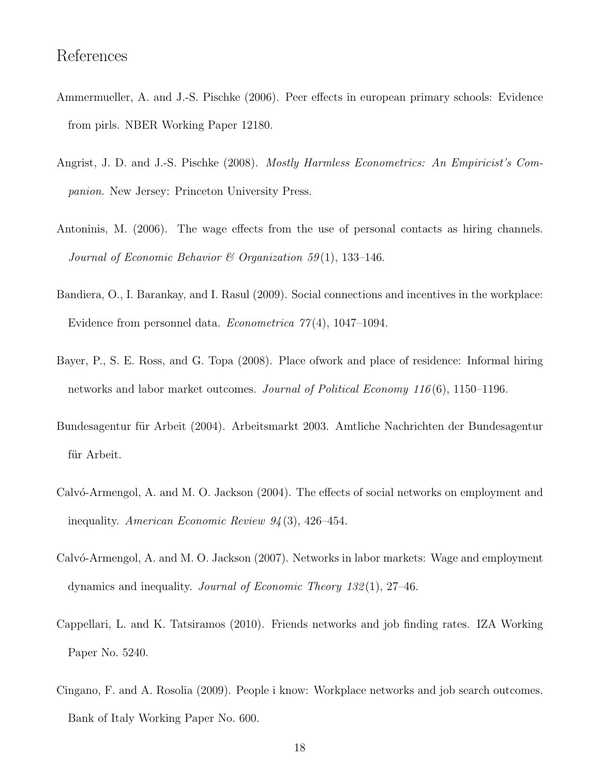#### References

- Ammermueller, A. and J.-S. Pischke (2006). Peer effects in european primary schools: Evidence from pirls. NBER Working Paper 12180.
- Angrist, J. D. and J.-S. Pischke (2008). *Mostly Harmless Econometrics: An Empiricist's Companion*. New Jersey: Princeton University Press.
- Antoninis, M. (2006). The wage effects from the use of personal contacts as hiring channels. *Journal of Economic Behavior & Organization 59* (1), 133–146.
- Bandiera, O., I. Barankay, and I. Rasul (2009). Social connections and incentives in the workplace: Evidence from personnel data. *Econometrica 77* (4), 1047–1094.
- Bayer, P., S. E. Ross, and G. Topa (2008). Place ofwork and place of residence: Informal hiring networks and labor market outcomes. *Journal of Political Economy 116* (6), 1150–1196.
- Bundesagentur für Arbeit (2004). Arbeitsmarkt 2003. Amtliche Nachrichten der Bundesagentur für Arbeit.
- Calvó-Armengol, A. and M. O. Jackson (2004). The effects of social networks on employment and inequality. *American Economic Review 94* (3), 426–454.
- Calvó-Armengol, A. and M. O. Jackson (2007). Networks in labor markets: Wage and employment dynamics and inequality. *Journal of Economic Theory 132* (1), 27–46.
- Cappellari, L. and K. Tatsiramos (2010). Friends networks and job finding rates. IZA Working Paper No. 5240.
- Cingano, F. and A. Rosolia (2009). People i know: Workplace networks and job search outcomes. Bank of Italy Working Paper No. 600.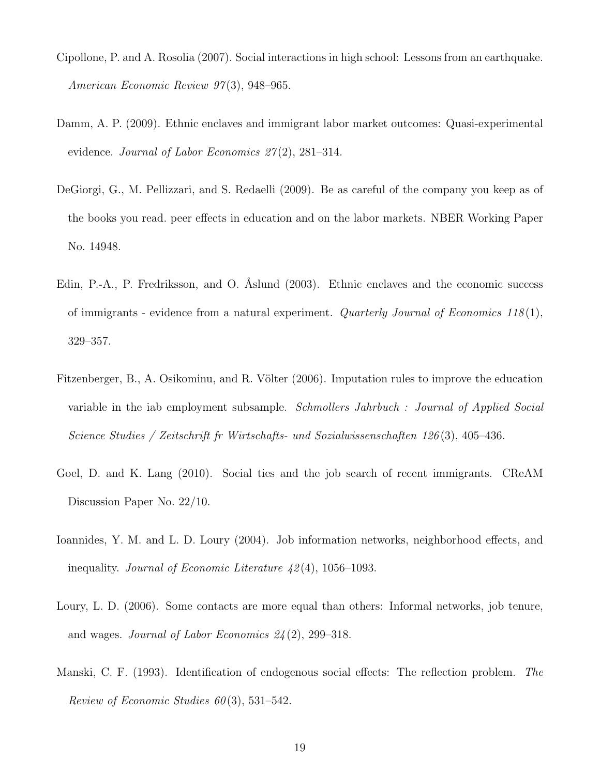- Cipollone, P. and A. Rosolia (2007). Social interactions in high school: Lessons from an earthquake. *American Economic Review 97* (3), 948–965.
- Damm, A. P. (2009). Ethnic enclaves and immigrant labor market outcomes: Quasi-experimental evidence. *Journal of Labor Economics 27* (2), 281–314.
- DeGiorgi, G., M. Pellizzari, and S. Redaelli (2009). Be as careful of the company you keep as of the books you read. peer effects in education and on the labor markets. NBER Working Paper No. 14948.
- Edin, P.-A., P. Fredriksson, and O. Åslund (2003). Ethnic enclaves and the economic success of immigrants - evidence from a natural experiment. *Quarterly Journal of Economics 118* (1), 329–357.
- Fitzenberger, B., A. Osikominu, and R. Völter (2006). Imputation rules to improve the education variable in the iab employment subsample. *Schmollers Jahrbuch : Journal of Applied Social Science Studies / Zeitschrift fr Wirtschafts- und Sozialwissenschaften 126* (3), 405–436.
- Goel, D. and K. Lang (2010). Social ties and the job search of recent immigrants. CReAM Discussion Paper No. 22/10.
- Ioannides, Y. M. and L. D. Loury (2004). Job information networks, neighborhood effects, and inequality. *Journal of Economic Literature 42* (4), 1056–1093.
- Loury, L. D. (2006). Some contacts are more equal than others: Informal networks, job tenure, and wages. *Journal of Labor Economics 24* (2), 299–318.
- Manski, C. F. (1993). Identification of endogenous social effects: The reflection problem. *The Review of Economic Studies 60* (3), 531–542.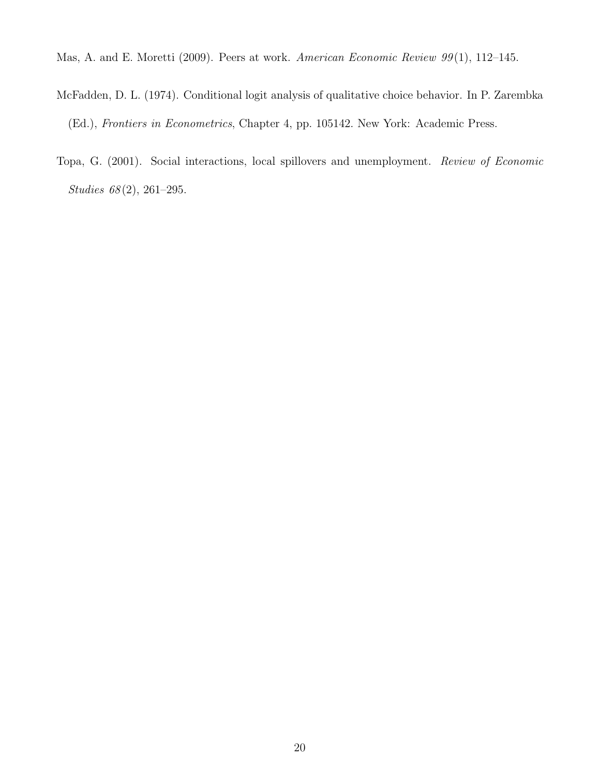Mas, A. and E. Moretti (2009). Peers at work. *American Economic Review 99* (1), 112–145.

- McFadden, D. L. (1974). Conditional logit analysis of qualitative choice behavior. In P. Zarembka (Ed.), *Frontiers in Econometrics*, Chapter 4, pp. 105142. New York: Academic Press.
- Topa, G. (2001). Social interactions, local spillovers and unemployment. *Review of Economic Studies 68* (2), 261–295.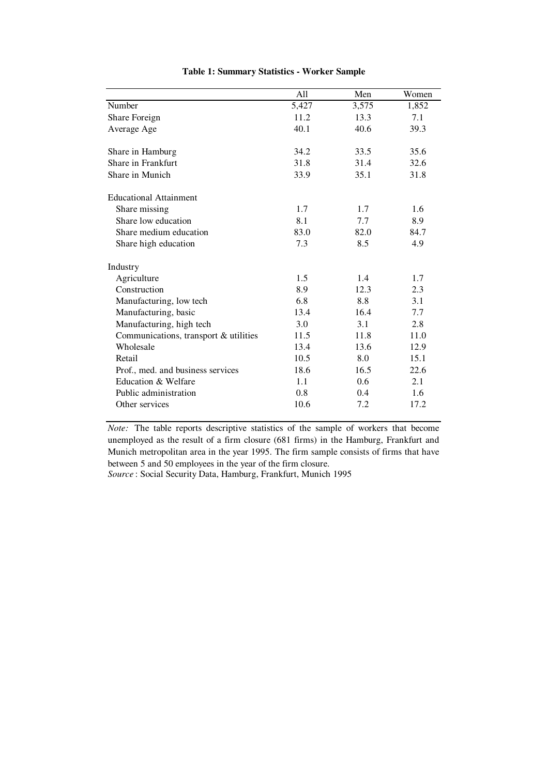|                                       | All   | Men           | Women |
|---------------------------------------|-------|---------------|-------|
| Number                                | 5,427 | 3,575         | 1,852 |
| Share Foreign                         | 11.2  | 13.3          | 7.1   |
| Average Age                           | 40.1  | 40.6          | 39.3  |
|                                       |       |               |       |
| Share in Hamburg                      | 34.2  | 33.5          | 35.6  |
| Share in Frankfurt                    | 31.8  | 31.4          | 32.6  |
| Share in Munich                       | 33.9  | 35.1          | 31.8  |
| <b>Educational Attainment</b>         |       |               |       |
| Share missing                         | 1.7   | 1.7           | 1.6   |
| Share low education                   | 8.1   | 7.7           | 8.9   |
| Share medium education                | 83.0  | 82.0          | 84.7  |
| Share high education                  | 7.3   | 8.5           | 4.9   |
| Industry                              |       |               |       |
| Agriculture                           | 1.5   | 1.4           | 1.7   |
| Construction                          | 8.9   | 12.3          | 2.3   |
| Manufacturing, low tech               | 6.8   | 8.8           | 3.1   |
| Manufacturing, basic                  | 13.4  | 16.4          | 7.7   |
| Manufacturing, high tech              | 3.0   | 3.1           | 2.8   |
| Communications, transport & utilities | 11.5  | 11.8          | 11.0  |
| Wholesale                             | 13.4  | 13.6          | 12.9  |
| Retail                                | 10.5  | 8.0           | 15.1  |
| Prof., med. and business services     | 18.6  | 16.5          | 22.6  |
| Education & Welfare                   | 1.1   | $0.6^{\circ}$ | 2.1   |
| Public administration                 | 0.8   | 0.4           | 1.6   |
| Other services                        | 10.6  | 7.2           | 17.2  |

#### **Table 1: Summary Statistics - Worker Sample**

*Note:* The table reports descriptive statistics of the sample of workers that become unemployed as the result of a firm closure (681 firms) in the Hamburg, Frankfurt and Munich metropolitan area in the year 1995. The firm sample consists of firms that have between 5 and 50 employees in the year of the firm closure.

*Source* : Social Security Data, Hamburg, Frankfurt, Munich 1995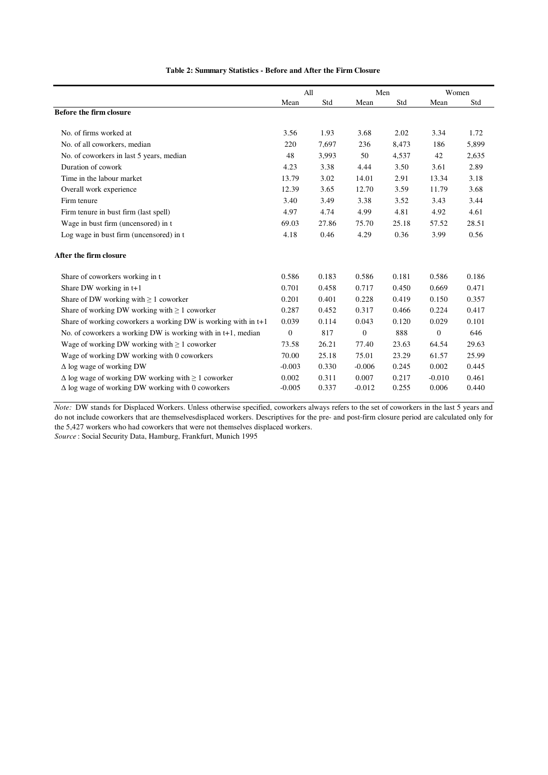|                                                                  | All              |       | Men      |       |                | Women |
|------------------------------------------------------------------|------------------|-------|----------|-------|----------------|-------|
|                                                                  | Mean             | Std   | Mean     | Std   | Mean           | Std   |
| Before the firm closure                                          |                  |       |          |       |                |       |
| No. of firms worked at                                           | 3.56             | 1.93  | 3.68     | 2.02  | 3.34           | 1.72  |
| No. of all coworkers, median                                     | 220              | 7,697 | 236      | 8,473 | 186            | 5,899 |
| No. of coworkers in last 5 years, median                         | 48               | 3,993 | 50       | 4,537 | 42             | 2,635 |
| Duration of cowork                                               | 4.23             | 3.38  | 4.44     | 3.50  | 3.61           | 2.89  |
| Time in the labour market                                        | 13.79            | 3.02  | 14.01    | 2.91  | 13.34          | 3.18  |
| Overall work experience                                          | 12.39            | 3.65  | 12.70    | 3.59  | 11.79          | 3.68  |
| Firm tenure                                                      | 3.40             | 3.49  | 3.38     | 3.52  | 3.43           | 3.44  |
| Firm tenure in bust firm (last spell)                            | 4.97             | 4.74  | 4.99     | 4.81  | 4.92           | 4.61  |
| Wage in bust firm (uncensored) in t                              | 69.03            | 27.86 | 75.70    | 25.18 | 57.52          | 28.51 |
| Log wage in bust firm (uncensored) in t                          | 4.18             | 0.46  | 4.29     | 0.36  | 3.99           | 0.56  |
| After the firm closure                                           |                  |       |          |       |                |       |
| Share of coworkers working in t                                  | 0.586            | 0.183 | 0.586    | 0.181 | 0.586          | 0.186 |
| Share DW working in $t+1$                                        | 0.701            | 0.458 | 0.717    | 0.450 | 0.669          | 0.471 |
| Share of DW working with $\geq 1$ coworker                       | 0.201            | 0.401 | 0.228    | 0.419 | 0.150          | 0.357 |
| Share of working DW working with $\geq 1$ coworker               | 0.287            | 0.452 | 0.317    | 0.466 | 0.224          | 0.417 |
| Share of working coworkers a working DW is working with in $t+1$ | 0.039            | 0.114 | 0.043    | 0.120 | 0.029          | 0.101 |
| No. of coworkers a working DW is working with in $t+1$ , median  | $\boldsymbol{0}$ | 817   | $\theta$ | 888   | $\overline{0}$ | 646   |
| Wage of working DW working with $\geq 1$ coworker                | 73.58            | 26.21 | 77.40    | 23.63 | 64.54          | 29.63 |
| Wage of working DW working with 0 coworkers                      | 70.00            | 25.18 | 75.01    | 23.29 | 61.57          | 25.99 |
| $\Delta$ log wage of working DW                                  | $-0.003$         | 0.330 | $-0.006$ | 0.245 | 0.002          | 0.445 |
| $\Delta$ log wage of working DW working with $\geq 1$ coworker   | 0.002            | 0.311 | 0.007    | 0.217 | $-0.010$       | 0.461 |
| $\Delta$ log wage of working DW working with 0 coworkers         | $-0.005$         | 0.337 | $-0.012$ | 0.255 | 0.006          | 0.440 |

**Table 2: Summary Statistics - Before and After the Firm Closure** 

*Note:* DW stands for Displaced Workers. Unless otherwise specified, coworkers always refers to the set of coworkers in the last 5 years and do not include coworkers that are themselvesdisplaced workers. Descriptives for the pre- and post-firm closure period are calculated only for the 5,427 workers who had coworkers that were not themselves displaced workers.

*Source* : Social Security Data, Hamburg, Frankfurt, Munich 1995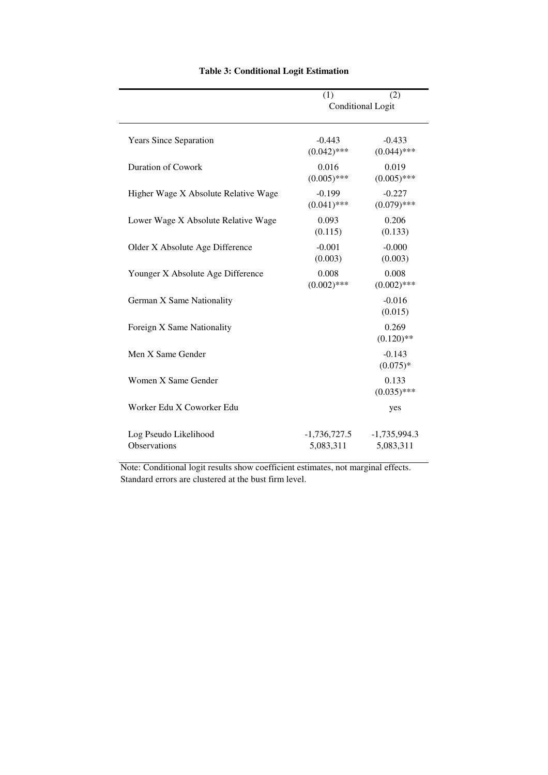|                                       | (1)<br><b>Conditional Logit</b> | (2)                         |  |  |  |
|---------------------------------------|---------------------------------|-----------------------------|--|--|--|
|                                       |                                 |                             |  |  |  |
| <b>Years Since Separation</b>         | $-0.443$<br>$(0.042)$ ***       | $-0.433$<br>$(0.044)$ ***   |  |  |  |
| <b>Duration of Cowork</b>             | 0.016<br>$(0.005)$ ***          | 0.019<br>$(0.005)$ ***      |  |  |  |
| Higher Wage X Absolute Relative Wage  | $-0.199$<br>$(0.041)$ ***       | $-0.227$<br>$(0.079)$ ***   |  |  |  |
| Lower Wage X Absolute Relative Wage   | 0.093<br>(0.115)                | 0.206<br>(0.133)            |  |  |  |
| Older X Absolute Age Difference       | $-0.001$<br>(0.003)             | $-0.000$<br>(0.003)         |  |  |  |
| Younger X Absolute Age Difference     | 0.008<br>$(0.002)$ ***          | 0.008<br>$(0.002)$ ***      |  |  |  |
| German X Same Nationality             |                                 | $-0.016$<br>(0.015)         |  |  |  |
| Foreign X Same Nationality            |                                 | 0.269<br>$(0.120)$ **       |  |  |  |
| Men X Same Gender                     |                                 | $-0.143$<br>$(0.075)*$      |  |  |  |
| Women X Same Gender                   |                                 | 0.133<br>$(0.035)$ ***      |  |  |  |
| Worker Edu X Coworker Edu             |                                 | yes                         |  |  |  |
| Log Pseudo Likelihood<br>Observations | $-1,736,727.5$<br>5,083,311     | $-1,735,994.3$<br>5,083,311 |  |  |  |

#### **Table 3: Conditional Logit Estimation**

Note: Conditional logit results show coefficient estimates, not marginal effects. Standard errors are clustered at the bust firm level.

—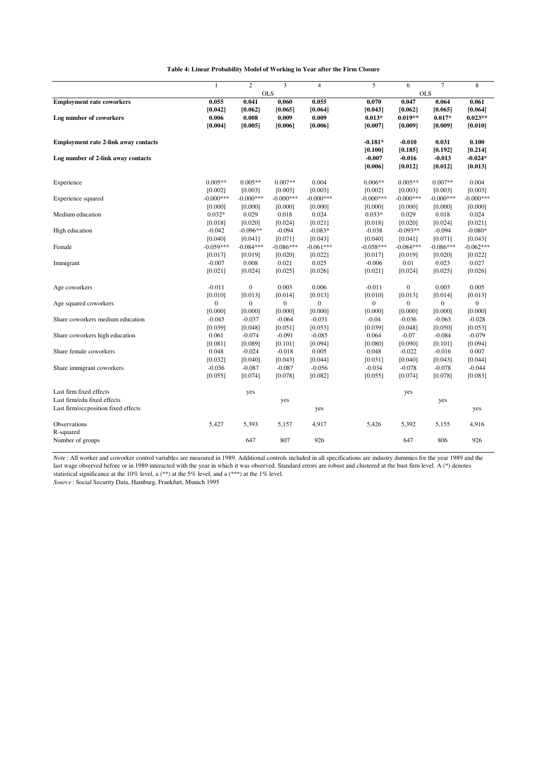|                                             | $\mathbf{1}$ | $\overline{c}$   | 3              | $\overline{4}$ | 5              | 6            | $\overline{7}$ | 8           |
|---------------------------------------------|--------------|------------------|----------------|----------------|----------------|--------------|----------------|-------------|
|                                             |              |                  | <b>OLS</b>     |                |                | <b>OLS</b>   |                |             |
| <b>Employment rate coworkers</b>            | 0.055        | 0.041            | 0.060          | 0.055          | 0.070          | 0.047        | 0.064          | 0.061       |
|                                             | [0.042]      | [0.062]          | [0.065]        | [0.064]        | [0.043]        | [0.062]      | [0.065]        | [0.064]     |
| Log number of coworkers                     | 0.006        | 0.008            | 0.009          | 0.009          | $0.013*$       | $0.019**$    | $0.017*$       | $0.023**$   |
|                                             | [0.004]      | [0.005]          | [0.006]        | [0.006]        | [0.007]        | [0.009]      | [0.009]        | [0.010]     |
| <b>Employment rate 2-link away contacts</b> |              |                  |                |                | $-0.181*$      | $-0.010$     | 0.031          | 0.100       |
|                                             |              |                  |                |                | [0.100]        | [0.185]      | [0.192]        | [0.214]     |
| Log number of 2-link away contacts          |              |                  |                |                | $-0.007$       | $-0.016$     | $-0.013$       | $-0.024*$   |
|                                             |              |                  |                |                | [0.006]        | [0.012]      | [0.012]        | [0.013]     |
| Experience                                  | $0.005**$    | $0.005**$        | $0.007**$      | 0.004          | $0.006**$      | $0.005**$    | $0.007**$      | 0.004       |
|                                             | [0.002]      | [0.003]          | [0.003]        | [0.003]        | [0.002]        | [0.003]      | [0.003]        | [0.003]     |
| Experience squared                          | $-0.000***$  | $-0.000***$      | $-0.000***$    | $-0.000***$    | $-0.000***$    | $-0.000***$  | $-0.000***$    | $-0.000***$ |
|                                             | [0.000]      | [0.000]          | [0.000]        | [0.000]        | [0.000]        | [0.000]      | [0.000]        | [0.000]     |
| Medium education                            | $0.032*$     | 0.029            | 0.018          | 0.024          | $0.033*$       | 0.029        | 0.018          | 0.024       |
|                                             | [0.018]      | [0.020]          | [0.024]        | [0.021]        | [0.018]        | [0.020]      | [0.024]        | [0.021]     |
| High education                              | $-0.042$     | $-0.096**$       | $-0.094$       | $-0.083*$      | $-0.038$       | $-0.093**$   | $-0.094$       | $-0.080*$   |
|                                             | [0.040]      | [0.041]          | [0.071]        | [0.043]        | [0.040]        | [0.041]      | [0.071]        | [0.043]     |
| Female                                      | $-0.059***$  | $-0.084***$      | $-0.086***$    | $-0.061***$    | $-0.058***$    | $-0.084***$  | $-0.086***$    | $-0.062***$ |
|                                             | [0.017]      | [0.019]          | [0.020]        | [0.022]        | [0.017]        | [0.019]      | [0.020]        | [0.022]     |
| Immigrant                                   | $-0.007$     | 0.008            | 0.021          | 0.025          | $-0.006$       | 0.01         | 0.023          | 0.027       |
|                                             | [0.021]      | [0.024]          | [0.025]        | [0.026]        | [0.021]        | [0.024]      | [0.025]        | [0.026]     |
| Age coworkers                               | $-0.011$     | $\boldsymbol{0}$ | 0.003          | 0.006          | $-0.011$       | $\mathbf{0}$ | 0.003          | 0.005       |
|                                             | [0.010]      | [0.013]          | [0.014]        | [0.013]        | [0.010]        | [0.013]      | [0.014]        | [0.013]     |
| Age squared coworkers                       | $\mathbf{0}$ | $\mathbf{0}$     | $\overline{0}$ | $\mathbf{0}$   | $\overline{0}$ | $\theta$     | $\Omega$       | $\Omega$    |
|                                             | [0.000]      | [0.000]          | [0.000]        | [0.000]        | [0.000]        | [0.000]      | [0.000]        | [0.000]     |
| Share coworkers medium education            | $-0.045$     | $-0.037$         | $-0.064$       | $-0.031$       | $-0.04$        | $-0.036$     | $-0.063$       | $-0.028$    |
|                                             | [0.039]      | [0.048]          | [0.051]        | [0.053]        | [0.039]        | [0.048]      | [0.050]        | [0.053]     |
| Share coworkers high education              | 0.061        | $-0.074$         | $-0.091$       | $-0.085$       | 0.064          | $-0.07$      | $-0.084$       | $-0.079$    |
|                                             | [0.081]      | [0.089]          | [0.101]        | [0.094]        | [0.080]        | [0.090]      | [0.101]        | [0.094]     |
| Share female coworkers                      | 0.048        | $-0.024$         | $-0.018$       | 0.005          | 0.048          | $-0.022$     | $-0.016$       | 0.007       |
|                                             | [0.032]      | [0.040]          | [0.043]        | [0.044]        | [0.031]        | [0.040]      | [0.043]        | [0.044]     |
| Share immigrant coworkers                   | $-0.036$     | $-0.087$         | $-0.087$       | $-0.056$       | $-0.034$       | $-0.078$     | $-0.078$       | $-0.044$    |
|                                             | [0.055]      | [0.074]          | [0.078]        | [0.082]        | [0.055]        | [0.074]      | [0.078]        | [0.083]     |
| Last firm fixed effects                     |              | yes              |                |                |                | yes          |                |             |
| Last firm/edu fixed effects                 |              |                  | yes            |                |                |              | yes            |             |
| Last firm/occposition fixed effects         |              |                  |                | yes            |                |              |                | yes         |
| Observations                                | 5,427        | 5,393            | 5,157          | 4,917          | 5,426          | 5,392        | 5,155          | 4,916       |
| R-squared                                   |              |                  |                |                |                |              |                |             |
| Number of groups                            |              | 647              | 807            | 926            |                | 647          | 806            | 926         |

*Note*: All worker and coworker control variables are measured in 1989. Additional controls included in all specifications are industry dummies for the year 1989 and the last wage observed before or in 1989 interacted with the year in which it was observed. Standard errors are robust and clustered at the bust firm level. A (\*) denotes

statistical significance at the 10% level, a  $(**)$  at the 5% level, and a  $(**)$  at the 1% level.

*Source* : Social Security Data, Hamburg, Frankfurt, Munich 1995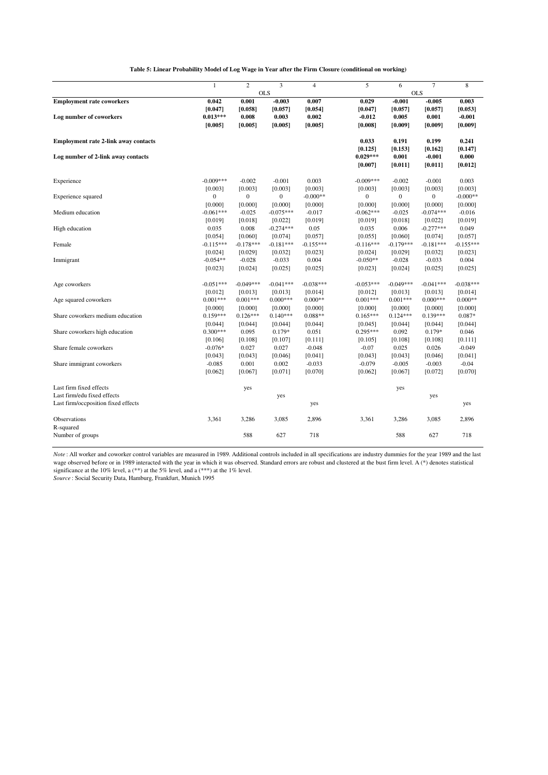**Table 5: Linear Probability Model of Log Wage in Year after the Firm Closure (conditional on working)**

|                                             | $\mathbf{1}$ | $\overline{c}$ | 3            | $\overline{4}$ | 5              | 6              | $\overline{7}$ | 8           |
|---------------------------------------------|--------------|----------------|--------------|----------------|----------------|----------------|----------------|-------------|
|                                             |              |                | <b>OLS</b>   |                |                |                | <b>OLS</b>     |             |
| <b>Employment rate coworkers</b>            | 0.042        | 0.001          | $-0.003$     | 0.007          | 0.029          | $-0.001$       | $-0.005$       | 0.003       |
|                                             | [0.047]      | [0.058]        | [0.057]      | [0.054]        | [0.047]        | [0.057]        | [0.057]        | [0.053]     |
| Log number of coworkers                     | $0.013***$   | 0.008          | 0.003        | 0.002          | $-0.012$       | 0.005          | 0.001          | $-0.001$    |
|                                             | [0.005]      | [0.005]        | [0.005]      | [0.005]        | [0.008]        | [0.009]        | [0.009]        | [0.009]     |
| <b>Employment rate 2-link away contacts</b> |              |                |              |                | 0.033          | 0.191          | 0.199          | 0.241       |
|                                             |              |                |              |                | [0.125]        | [0.153]        | [0.162]        | [0.147]     |
| Log number of 2-link away contacts          |              |                |              |                | $0.029***$     | 0.001          | $-0.001$       | 0.000       |
|                                             |              |                |              |                | [0.007]        | [0.011]        | [0.011]        | [0.012]     |
| Experience                                  | $-0.009***$  | $-0.002$       | $-0.001$     | 0.003          | $-0.009***$    | $-0.002$       | $-0.001$       | 0.003       |
|                                             | [0.003]      | [0.003]        | [0.003]      | [0.003]        | [0.003]        | [0.003]        | [0.003]        | [0.003]     |
| Experience squared                          | $\mathbf{0}$ | $\mathbf{0}$   | $\mathbf{0}$ | $-0.000**$     | $\overline{0}$ | $\overline{0}$ | $\overline{0}$ | $-0.000**$  |
|                                             | [0.000]      | [0.000]        | [0.000]      | [0.000]        | [0.000]        | [0.000]        | [0.000]        | [0.000]     |
| Medium education                            | $-0.061***$  | $-0.025$       | $-0.075***$  | $-0.017$       | $-0.062***$    | $-0.025$       | $-0.074***$    | $-0.016$    |
|                                             | [0.019]      | [0.018]        | [0.022]      | [0.019]        | [0.019]        | [0.018]        | [0.022]        | [0.019]     |
| High education                              | 0.035        | 0.008          | $-0.274***$  | 0.05           | 0.035          | 0.006          | $-0.277***$    | 0.049       |
|                                             | [0.054]      | [0.060]        | [0.074]      | [0.057]        | [0.055]        | [0.060]        | [0.074]        | [0.057]     |
| Female                                      | $-0.115***$  | $-0.178***$    | $-0.181***$  | $-0.155***$    | $-0.116***$    | $-0.179***$    | $-0.181***$    | $-0.155***$ |
|                                             | [0.024]      | [0.029]        | [0.032]      | [0.023]        | [0.024]        | [0.029]        | [0.032]        | [0.023]     |
| Immigrant                                   | $-0.054**$   | $-0.028$       | $-0.033$     | 0.004          | $-0.050**$     | $-0.028$       | $-0.033$       | 0.004       |
|                                             | [0.023]      | [0.024]        | [0.025]      | [0.025]        | [0.023]        | [0.024]        | [0.025]        | [0.025]     |
| Age coworkers                               | $-0.051***$  | $-0.049***$    | $-0.041***$  | $-0.038***$    | $-0.053***$    | $-0.049***$    | $-0.041***$    | $-0.038***$ |
|                                             | [0.012]      | [0.013]        | [0.013]      | [0.014]        | [0.012]        | [0.013]        | [0.013]        | [0.014]     |
| Age squared coworkers                       | $0.001***$   | $0.001***$     | $0.000***$   | $0.000**$      | $0.001***$     | $0.001***$     | $0.000***$     | $0.000**$   |
|                                             | [0.000]      | [0.000]        | [0.000]      | [0.000]        | [0.000]        | [0.000]        | [0.000]        | [0.000]     |
| Share coworkers medium education            | $0.159***$   | $0.126***$     | $0.140***$   | $0.088**$      | $0.165***$     | $0.124***$     | $0.139***$     | $0.087*$    |
|                                             | [0.044]      | [0.044]        | [0.044]      | [0.044]        | [0.045]        | [0.044]        | [0.044]        | [0.044]     |
| Share coworkers high education              | $0.300***$   | 0.095          | $0.179*$     | 0.051          | $0.295***$     | 0.092          | $0.179*$       | 0.046       |
|                                             | [0.106]      | [0.108]        | [0.107]      | [0.111]        | [0.105]        | [0.108]        | [0.108]        | [0.111]     |
| Share female coworkers                      | $-0.076*$    | 0.027          | 0.027        | $-0.048$       | $-0.07$        | 0.025          | 0.026          | $-0.049$    |
|                                             | [0.043]      | [0.043]        | [0.046]      | [0.041]        | [0.043]        | [0.043]        | [0.046]        | [0.041]     |
| Share immigrant coworkers                   | $-0.085$     | 0.001          | 0.002        | $-0.033$       | $-0.079$       | $-0.005$       | $-0.003$       | $-0.04$     |
|                                             | [0.062]      | [0.067]        | [0.071]      | [0.070]        | [0.062]        | [0.067]        | [0.072]        | [0.070]     |
| Last firm fixed effects                     |              | yes            |              |                |                | yes            |                |             |
| Last firm/edu fixed effects                 |              |                | yes          |                |                |                | yes            |             |
| Last firm/occposition fixed effects         |              |                |              | yes            |                |                |                | yes         |
| Observations                                | 3,361        | 3,286          | 3,085        | 2,896          | 3,361          | 3,286          | 3,085          | 2,896       |
| R-squared                                   |              |                |              |                |                |                |                |             |
| Number of groups                            |              | 588            | 627          | 718            |                | 588            | 627            | 718         |
|                                             |              |                |              |                |                |                |                |             |

significance at the 10% level, a (\*\*) at the 5% level, and a (\*\*\*) at the 1% level.<br>*Source* : Social Security Data, Hamburg, Frankfurt, Munich 1995 *Note* : All worker and coworker control variables are measured in 1989. Additional controls included in all specifications are industry dummies for the year 1989 and the last wage observed before or in 1989 interacted with the year in which it was observed. Standard errors are robust and clustered at the bust firm level. A (\*) denotes statistical